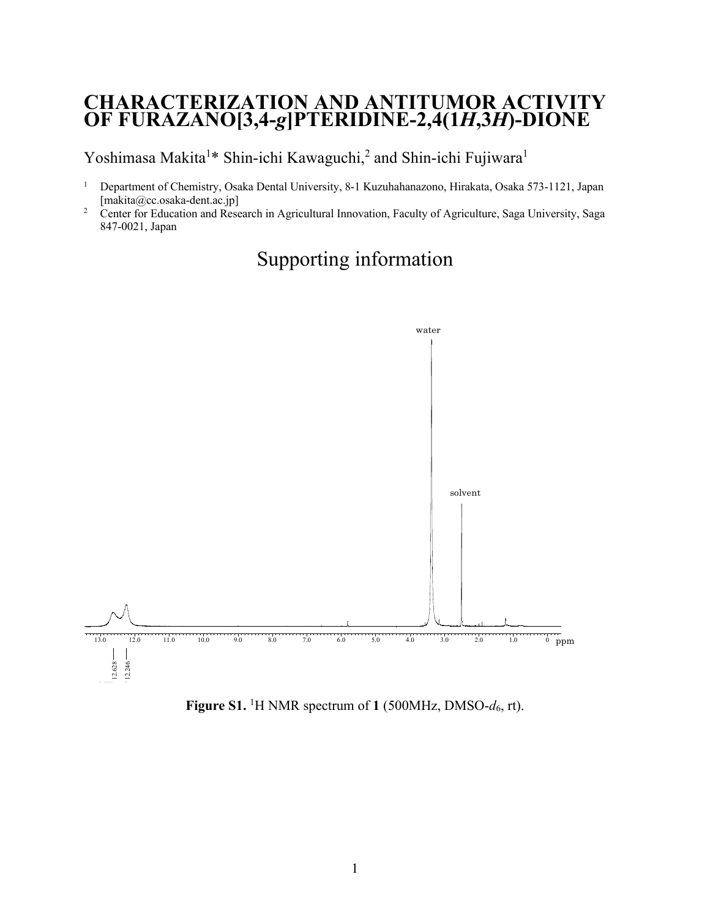## **CHARACTERIZATION AND ANTITUMOR ACTIVITY OF FURAZANO[3,4-***g***]PTERIDINE-2,4(1***H***,3***H***)-DIONE**

Yoshimasa Makita<sup>1\*</sup> Shin-ichi Kawaguchi,<sup>2</sup> and Shin-ichi Fujiwara<sup>1</sup>

- <sup>1</sup> Department of Chemistry, Osaka Dental University, 8-1 Kuzuhahanazono, Hirakata, Osaka 573-1121, Japan [makita@cc.osaka-dent.ac.jp]
- <sup>2</sup> Center for Education and Research in Agricultural Innovation, Faculty of Agriculture, Saga University, Saga 847-0021, Japan



## Supporting information

Figure S1. <sup>1</sup>H NMR spectrum of 1 (500MHz, DMSO- $d_6$ , rt).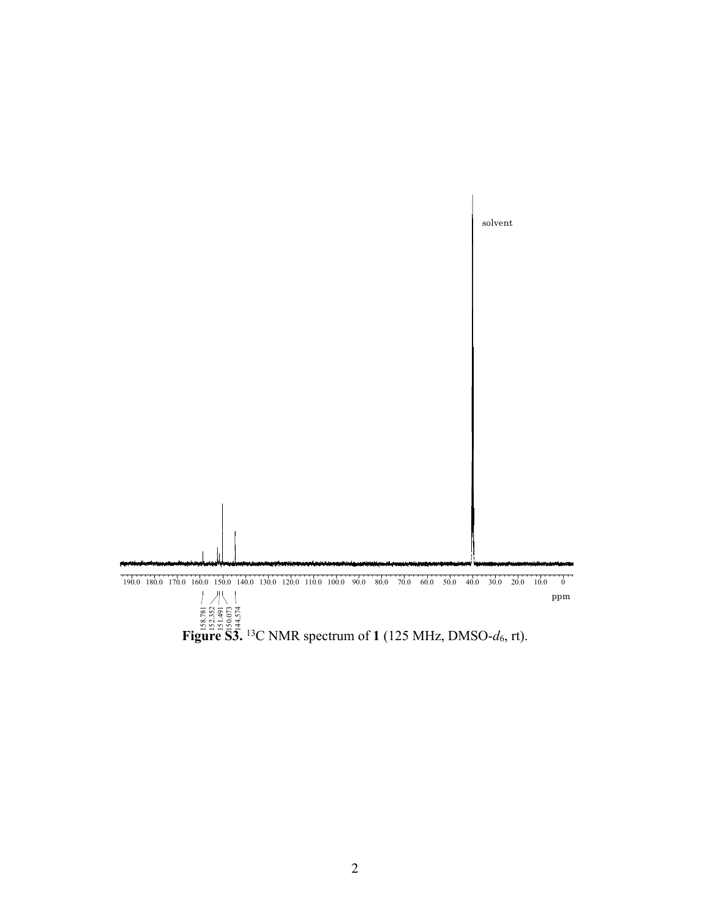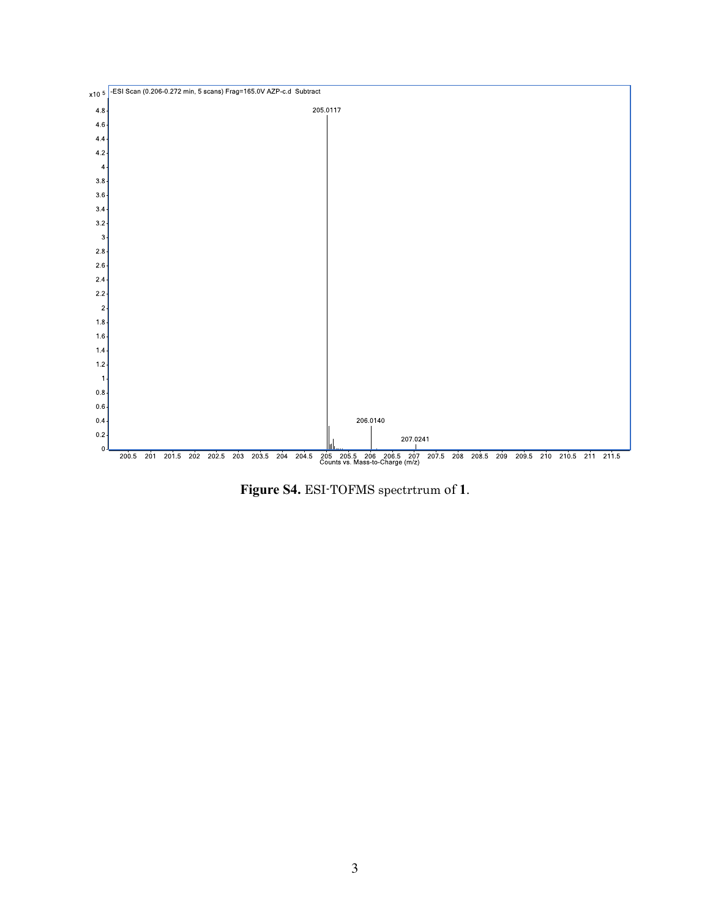

Figure S4. ESI-TOFMS spectrtrum of 1.